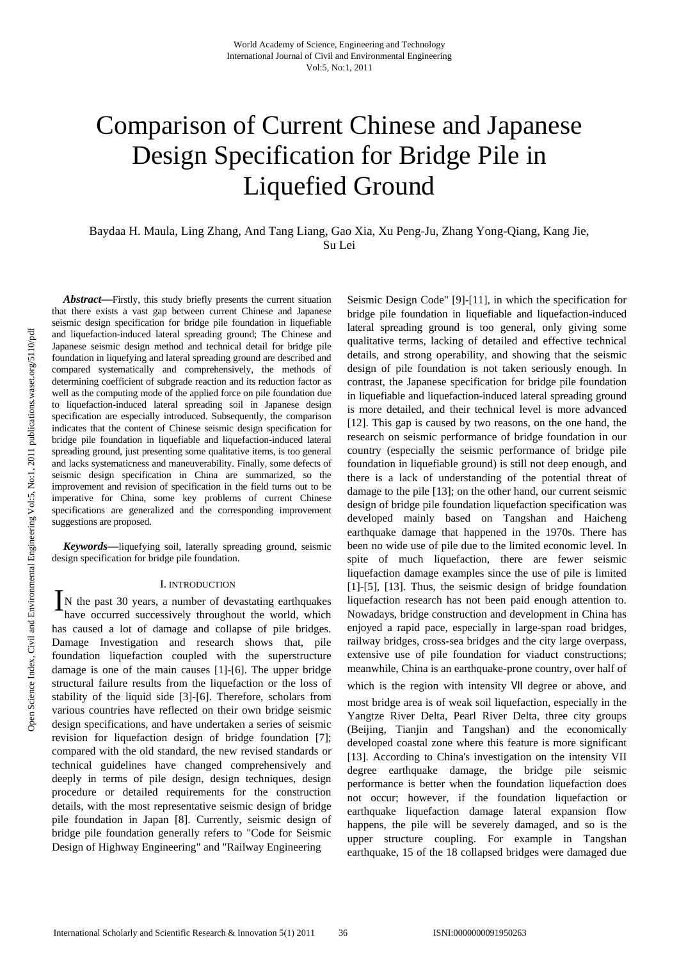# Comparison of Current Chinese and Japanese Design Specification for Bridge Pile in Liquefied Ground

Baydaa H. Maula, Ling Zhang, And Tang Liang, Gao Xia, Xu Peng-Ju, Zhang Yong-Qiang, Kang Jie, Su Lei

*Abstract—*Firstly, this study briefly presents the current situation that there exists a vast gap between current Chinese and Japanese seismic design specification for bridge pile foundation in liquefiable and liquefaction-induced lateral spreading ground; The Chinese and Japanese seismic design method and technical detail for bridge pile foundation in liquefying and lateral spreading ground are described and compared systematically and comprehensively, the methods of determining coefficient of subgrade reaction and its reduction factor as well as the computing mode of the applied force on pile foundation due to liquefaction-induced lateral spreading soil in Japanese design specification are especially introduced. Subsequently, the comparison indicates that the content of Chinese seismic design specification for bridge pile foundation in liquefiable and liquefaction-induced lateral spreading ground, just presenting some qualitative items, is too general and lacks systematicness and maneuverability. Finally, some defects of seismic design specification in China are summarized, so the improvement and revision of specification in the field turns out to be imperative for China, some key problems of current Chinese specifications are generalized and the corresponding improvement suggestions are proposed.

*Keywords—*liquefying soil, laterally spreading ground, seismic design specification for bridge pile foundation.

## I. INTRODUCTION

N the past 30 years, a number of devastating earthquakes have occurred successively throughout the world, which has caused a lot of damage and collapse of pile bridges. Damage Investigation and research shows that, pile foundation liquefaction coupled with the superstructure damage is one of the main causes [1]-[6]. The upper bridge structural failure results from the liquefaction or the loss of stability of the liquid side [3]-[6]. Therefore, scholars from various countries have reflected on their own bridge seismic design specifications, and have undertaken a series of seismic revision for liquefaction design of bridge foundation [7]; compared with the old standard, the new revised standards or technical guidelines have changed comprehensively and deeply in terms of pile design, design techniques, design procedure or detailed requirements for the construction details, with the most representative seismic design of bridge pile foundation in Japan [8]. Currently, seismic design of bridge pile foundation generally refers to "Code for Seismic Design of Highway Engineering" and "Railway Engineering  $\mathbf{I}_{\textrm{\tiny{h}}}^{\textrm{\tiny{N}}}$ 

Seismic Design Code" [9]-[11], in which the specification for bridge pile foundation in liquefiable and liquefaction-induced lateral spreading ground is too general, only giving some qualitative terms, lacking of detailed and effective technical details, and strong operability, and showing that the seismic design of pile foundation is not taken seriously enough. In contrast, the Japanese specification for bridge pile foundation in liquefiable and liquefaction-induced lateral spreading ground is more detailed, and their technical level is more advanced [12]. This gap is caused by two reasons, on the one hand, the research on seismic performance of bridge foundation in our country (especially the seismic performance of bridge pile foundation in liquefiable ground) is still not deep enough, and there is a lack of understanding of the potential threat of damage to the pile [13]; on the other hand, our current seismic design of bridge pile foundation liquefaction specification was developed mainly based on Tangshan and Haicheng earthquake damage that happened in the 1970s. There has been no wide use of pile due to the limited economic level. In spite of much liquefaction, there are fewer seismic liquefaction damage examples since the use of pile is limited [1]-[5], [13]. Thus, the seismic design of bridge foundation liquefaction research has not been paid enough attention to. Nowadays, bridge construction and development in China has enjoyed a rapid pace, especially in large-span road bridges, railway bridges, cross-sea bridges and the city large overpass, extensive use of pile foundation for viaduct constructions; meanwhile, China is an earthquake-prone country, over half of which is the region with intensity VII degree or above, and most bridge area is of weak soil liquefaction, especially in the Yangtze River Delta, Pearl River Delta, three city groups (Beijing, Tianjin and Tangshan) and the economically developed coastal zone where this feature is more significant [13]. According to China's investigation on the intensity VII degree earthquake damage, the bridge pile seismic performance is better when the foundation liquefaction does not occur; however, if the foundation liquefaction or earthquake liquefaction damage lateral expansion flow happens, the pile will be severely damaged, and so is the upper structure coupling. For example in Tangshan

earthquake, 15 of the 18 collapsed bridges were damaged due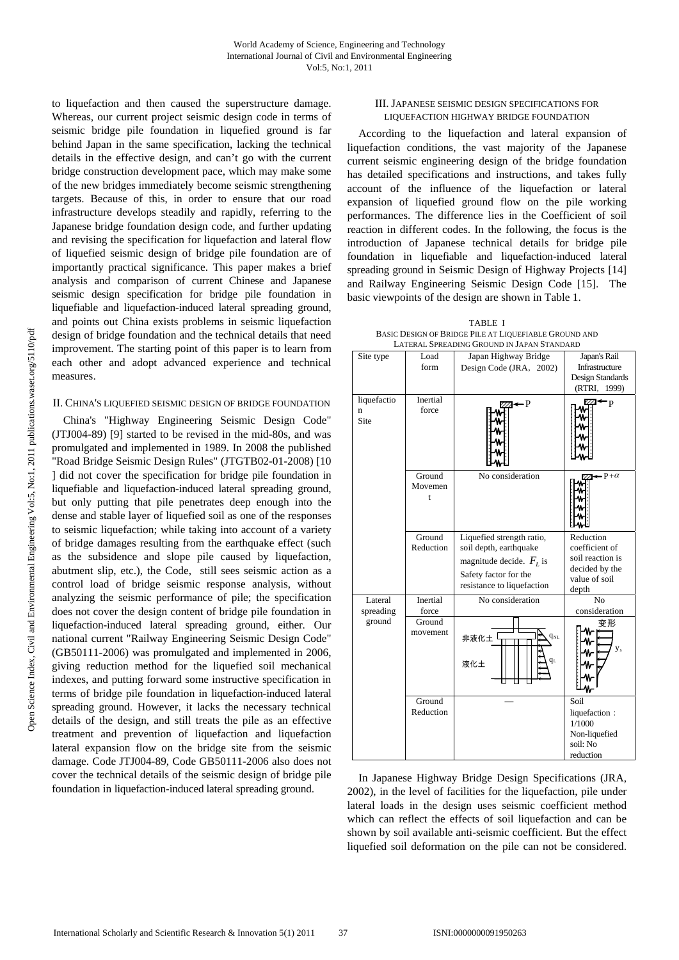to liquefaction and then caused the superstructure damage. Whereas, our current project seismic design code in terms of seismic bridge pile foundation in liquefied ground is far behind Japan in the same specification, lacking the technical details in the effective design, and can't go with the current bridge construction development pace, which may make some of the new bridges immediately become seismic strengthening targets. Because of this, in order to ensure that our road infrastructure develops steadily and rapidly, referring to the Japanese bridge foundation design code, and further updating and revising the specification for liquefaction and lateral flow of liquefied seismic design of bridge pile foundation are of importantly practical significance. This paper makes a brief analysis and comparison of current Chinese and Japanese seismic design specification for bridge pile foundation in liquefiable and liquefaction-induced lateral spreading ground, and points out China exists problems in seismic liquefaction design of bridge foundation and the technical details that need improvement. The starting point of this paper is to learn from each other and adopt advanced experience and technical measures.

## II. CHINA'S LIQUEFIED SEISMIC DESIGN OF BRIDGE FOUNDATION

China's "Highway Engineering Seismic Design Code" (JTJ004-89) [9] started to be revised in the mid-80s, and was promulgated and implemented in 1989. In 2008 the published "Road Bridge Seismic Design Rules" (JTGTB02-01-2008) [10 ] did not cover the specification for bridge pile foundation in liquefiable and liquefaction-induced lateral spreading ground, but only putting that pile penetrates deep enough into the dense and stable layer of liquefied soil as one of the responses to seismic liquefaction; while taking into account of a variety of bridge damages resulting from the earthquake effect (such as the subsidence and slope pile caused by liquefaction, abutment slip, etc.), the Code, still sees seismic action as a control load of bridge seismic response analysis, without analyzing the seismic performance of pile; the specification does not cover the design content of bridge pile foundation in liquefaction-induced lateral spreading ground, either. Our national current "Railway Engineering Seismic Design Code" (GB50111-2006) was promulgated and implemented in 2006, giving reduction method for the liquefied soil mechanical indexes, and putting forward some instructive specification in terms of bridge pile foundation in liquefaction-induced lateral spreading ground. However, it lacks the necessary technical details of the design, and still treats the pile as an effective treatment and prevention of liquefaction and liquefaction lateral expansion flow on the bridge site from the seismic damage. Code JTJ004-89, Code GB50111-2006 also does not cover the technical details of the seismic design of bridge pile foundation in liquefaction-induced lateral spreading ground.

#### III. JAPANESE SEISMIC DESIGN SPECIFICATIONS FOR LIQUEFACTION HIGHWAY BRIDGE FOUNDATION

According to the liquefaction and lateral expansion of liquefaction conditions, the vast majority of the Japanese current seismic engineering design of the bridge foundation has detailed specifications and instructions, and takes fully account of the influence of the liquefaction or lateral expansion of liquefied ground flow on the pile working performances. The difference lies in the Coefficient of soil reaction in different codes. In the following, the focus is the introduction of Japanese technical details for bridge pile foundation in liquefiable and liquefaction-induced lateral spreading ground in Seismic Design of Highway Projects [14] and Railway Engineering Seismic Design Code [15]. The basic viewpoints of the design are shown in Table 1.

TABLE I BASIC DESIGN OF BRIDGE PILE AT LIQUEFIABLE GROUND AND LATERAL SPREADING GROUND IN JAPAN STANDARD



In Japanese Highway Bridge Design Specifications (JRA, 2002), in the level of facilities for the liquefaction, pile under lateral loads in the design uses seismic coefficient method which can reflect the effects of soil liquefaction and can be shown by soil available anti-seismic coefficient. But the effect liquefied soil deformation on the pile can not be considered.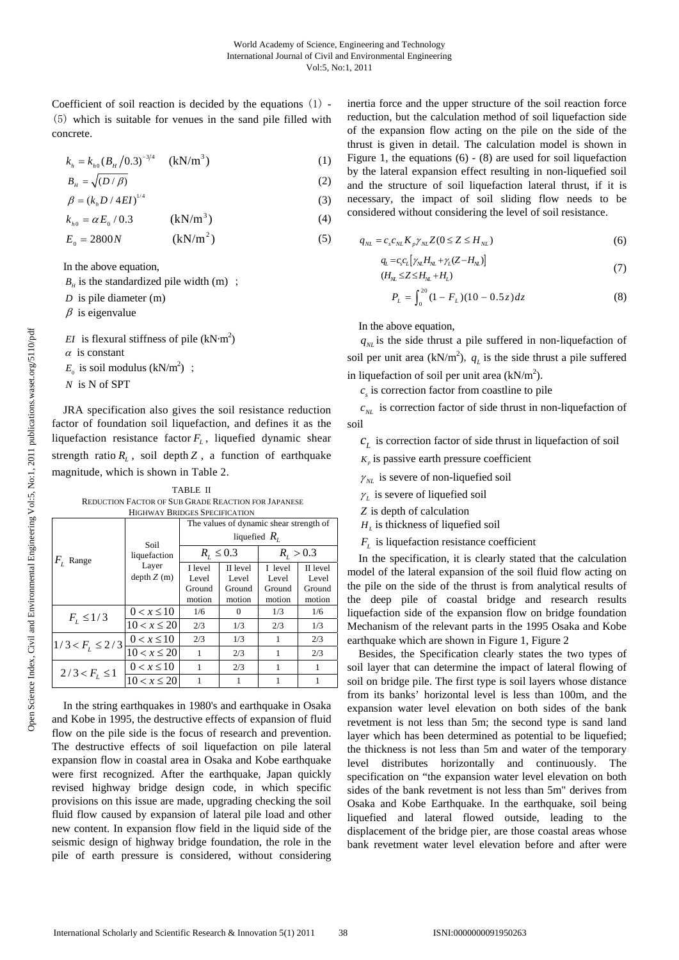Coefficient of soil reaction is decided by the equations (1) - (5) which is suitable for venues in the sand pile filled with concrete.

$$
k_{h} = k_{h0} (B_{H}/0.3)^{-3/4} \quad \text{(kN/m}^{3})
$$
 (1)

$$
B_{\mu} = \sqrt{(D/\beta)}\tag{2}
$$

$$
\beta = (k_{h}D/4EI)^{1/4}
$$
\n(3)

$$
k_{h0} = \alpha E_0 / 0.3 \qquad (kN/m^3)
$$
 (4)

$$
E_0 = 2800N \qquad \qquad (\text{kN/m}^2) \tag{5}
$$

In the above equation,

- $B<sub>H</sub>$  is the standardized pile width (m) ;
- *D* is pile diameter (m)
- $\beta$  is eigenvalue

*EI* is flexural stiffness of pile  $(kN·m<sup>2</sup>)$ 

- $\alpha$  is constant
- $E_0$  is soil modulus (kN/m<sup>2</sup>);
- *N* is N of SPT

JRA specification also gives the soil resistance reduction factor of foundation soil liquefaction, and defines it as the liquefaction resistance factor  $F<sub>L</sub>$ , liquefied dynamic shear strength ratio  $R<sub>L</sub>$ , soil depth  $Z$ , a function of earthquake magnitude, which is shown in Table 2.

TABLE II REDUCTION FACTOR OF SUB GRADE REACTION FOR JAPANESE HIGHWAY BRIDGES SPECIFICATION

|                      | Soil<br>liquefaction | The values of dynamic shear strength of |          |               |          |
|----------------------|----------------------|-----------------------------------------|----------|---------------|----------|
| $Fr$ Range           |                      | liquefied $R_{i}$                       |          |               |          |
|                      |                      | $R_{L} \le 0.3$                         |          | $R_{I} > 0.3$ |          |
|                      | Layer                | I level                                 | II level | I level       | II level |
|                      | depth Z(m)           | Level                                   | Level    | Level         | Level    |
|                      |                      | Ground                                  | Ground   | Ground        | Ground   |
|                      |                      | motion                                  | motion   | motion        | motion   |
| $F_{I} \leq 1/3$     | $0 < x \leq 10$      | 1/6                                     | $\Omega$ | 1/3           | 1/6      |
|                      | $10 < x \leq 20$     | 2/3                                     | 1/3      | 2/3           | 1/3      |
| $1/3 < F_L \leq 2/3$ | $0 < x \le 10$       | 2/3                                     | 1/3      | 1             | 2/3      |
|                      | $10 < x \leq 20$     | 1                                       | 2/3      | 1             | 2/3      |
| $2/3 < F_L \leq 1$   | $0 < x \leq 10$      | 1                                       | 2/3      |               | 1        |
|                      | $10 < x \le 20$      |                                         |          |               |          |

In the string earthquakes in 1980's and earthquake in Osaka and Kobe in 1995, the destructive effects of expansion of fluid flow on the pile side is the focus of research and prevention. The destructive effects of soil liquefaction on pile lateral expansion flow in coastal area in Osaka and Kobe earthquake were first recognized. After the earthquake, Japan quickly revised highway bridge design code, in which specific provisions on this issue are made, upgrading checking the soil fluid flow caused by expansion of lateral pile load and other new content. In expansion flow field in the liquid side of the seismic design of highway bridge foundation, the role in the pile of earth pressure is considered, without considering inertia force and the upper structure of the soil reaction force reduction, but the calculation method of soil liquefaction side of the expansion flow acting on the pile on the side of the thrust is given in detail. The calculation model is shown in Figure 1, the equations (6) - (8) are used for soil liquefaction by the lateral expansion effect resulting in non-liquefied soil and the structure of soil liquefaction lateral thrust, if it is necessary, the impact of soil sliding flow needs to be considered without considering the level of soil resistance.

$$
q_{NL} = c_s c_{NL} K_p \gamma_{NL} Z (0 \le Z \le H_{NL}) \tag{6}
$$

$$
q_L = c_s c_L \left[ \gamma_M H_{NL} + \gamma_L (Z - H_{NL}) \right]
$$
  
\n
$$
(H_M \le Z \le H_M + H_L)
$$
\n(7)

$$
P_L = \int_0^{20} (1 - F_L)(10 - 0.5z) dz
$$
 (8)

In the above equation,

 $q<sub>NL</sub>$  is the side thrust a pile suffered in non-liquefaction of soil per unit area (kN/m<sup>2</sup>),  $q_L$  is the side thrust a pile suffered in liquefaction of soil per unit area  $(kN/m<sup>2</sup>)$ .

 $c<sub>s</sub>$  is correction factor from coastline to pile

 $c_{NL}$  is correction factor of side thrust in non-liquefaction of soil

 $c_L$  is correction factor of side thrust in liquefaction of soil

- $K_p$  is passive earth pressure coefficient
- $\gamma_{NL}$  is severe of non-liquefied soil
- $\gamma$ <sup>l</sup> is severe of liquefied soil
- *Z* is depth of calculation
- $H_L$  is thickness of liquefied soil

 $F<sub>L</sub>$  is liquefaction resistance coefficient

In the specification, it is clearly stated that the calculation model of the lateral expansion of the soil fluid flow acting on the pile on the side of the thrust is from analytical results of the deep pile of coastal bridge and research results liquefaction side of the expansion flow on bridge foundation Mechanism of the relevant parts in the 1995 Osaka and Kobe earthquake which are shown in Figure 1, Figure 2

Besides, the Specification clearly states the two types of soil layer that can determine the impact of lateral flowing of soil on bridge pile. The first type is soil layers whose distance from its banks' horizontal level is less than 100m, and the expansion water level elevation on both sides of the bank revetment is not less than 5m; the second type is sand land layer which has been determined as potential to be liquefied; the thickness is not less than 5m and water of the temporary level distributes horizontally and continuously. The specification on "the expansion water level elevation on both sides of the bank revetment is not less than 5m" derives from Osaka and Kobe Earthquake. In the earthquake, soil being liquefied and lateral flowed outside, leading to the displacement of the bridge pier, are those coastal areas whose bank revetment water level elevation before and after were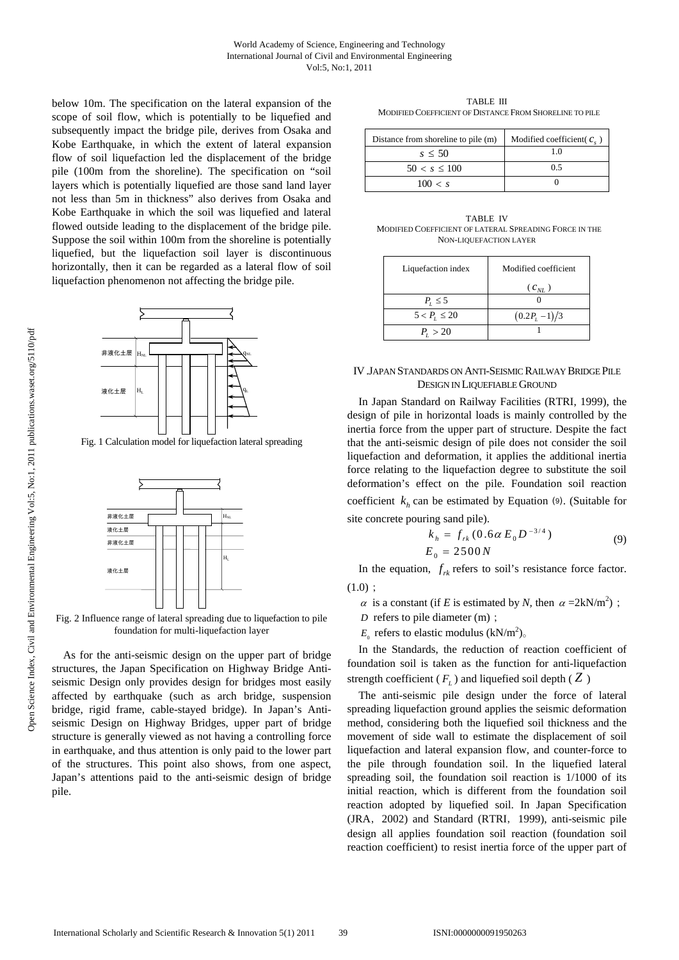below 10m. The specification on the lateral expansion of the scope of soil flow, which is potentially to be liquefied and subsequently impact the bridge pile, derives from Osaka and Kobe Earthquake, in which the extent of lateral expansion flow of soil liquefaction led the displacement of the bridge pile (100m from the shoreline). The specification on "soil layers which is potentially liquefied are those sand land layer not less than 5m in thickness" also derives from Osaka and Kobe Earthquake in which the soil was liquefied and lateral flowed outside leading to the displacement of the bridge pile. Suppose the soil within 100m from the shoreline is potentially liquefied, but the liquefaction soil layer is discontinuous horizontally, then it can be regarded as a lateral flow of soil liquefaction phenomenon not affecting the bridge pile.



Fig. 1 Calculation model for liquefaction lateral spreading



Fig. 2 Influence range of lateral spreading due to liquefaction to pile foundation for multi-liquefaction layer

As for the anti-seismic design on the upper part of bridge structures, the Japan Specification on Highway Bridge Antiseismic Design only provides design for bridges most easily affected by earthquake (such as arch bridge, suspension bridge, rigid frame, cable-stayed bridge). In Japan's Antiseismic Design on Highway Bridges, upper part of bridge structure is generally viewed as not having a controlling force in earthquake, and thus attention is only paid to the lower part of the structures. This point also shows, from one aspect, Japan's attentions paid to the anti-seismic design of bridge pile.

TABLE III MODIFIED COEFFICIENT OF DISTANCE FROM SHORELINE TO PILE

| Distance from shoreline to pile (m) | Modified coefficient( $c_{\perp}$ ) |  |  |
|-------------------------------------|-------------------------------------|--|--|
| $s \leq 50$                         |                                     |  |  |
| $50 < s \leq 100$                   | 0.5                                 |  |  |
| 100 < s                             |                                     |  |  |

TABLE IV MODIFIED COEFFICIENT OF LATERAL SPREADING FORCE IN THE NON-LIQUEFACTION LAYER

| Liquefaction index  | Modified coefficient |  |  |
|---------------------|----------------------|--|--|
|                     | $(c_{_{NL}})$        |  |  |
| $P_{I} \leq 5$      |                      |  |  |
| $5 < P_{1} \leq 20$ | $(0.2P_{L}-1)/3$     |  |  |
| $P_{1} > 20$        |                      |  |  |

## IV.JAPAN STANDARDS ON ANTI-SEISMIC RAILWAY BRIDGE PILE DESIGN IN LIQUEFIABLE GROUND

In Japan Standard on Railway Facilities (RTRI, 1999), the design of pile in horizontal loads is mainly controlled by the inertia force from the upper part of structure. Despite the fact that the anti-seismic design of pile does not consider the soil liquefaction and deformation, it applies the additional inertia force relating to the liquefaction degree to substitute the soil deformation's effect on the pile. Foundation soil reaction coefficient  $k<sub>h</sub>$  can be estimated by Equation (9). (Suitable for site concrete pouring sand pile).

$$
k_h = f_{rk} (0.6 \alpha E_0 D^{-3/4})
$$
  
\n
$$
E_0 = 2500 N
$$
 (9)

In the equation,  $f_{rk}$  refers to soil's resistance force factor.  $(1.0);$ 

- $\alpha$  is a constant (if *E* is estimated by *N*, then  $\alpha = 2kN/m^2$ );
- *D* refers to pile diameter (m);
- $E_0$  refers to elastic modulus  $(kN/m^2)$ <sub>o</sub>

In the Standards, the reduction of reaction coefficient of foundation soil is taken as the function for anti-liquefaction strength coefficient ( $F<sub>L</sub>$ ) and liquefied soil depth ( $Z$ )

The anti-seismic pile design under the force of lateral spreading liquefaction ground applies the seismic deformation method, considering both the liquefied soil thickness and the movement of side wall to estimate the displacement of soil liquefaction and lateral expansion flow, and counter-force to the pile through foundation soil. In the liquefied lateral spreading soil, the foundation soil reaction is 1/1000 of its initial reaction, which is different from the foundation soil reaction adopted by liquefied soil. In Japan Specification (JRA, 2002) and Standard (RTRI, 1999), anti-seismic pile design all applies foundation soil reaction (foundation soil reaction coefficient) to resist inertia force of the upper part of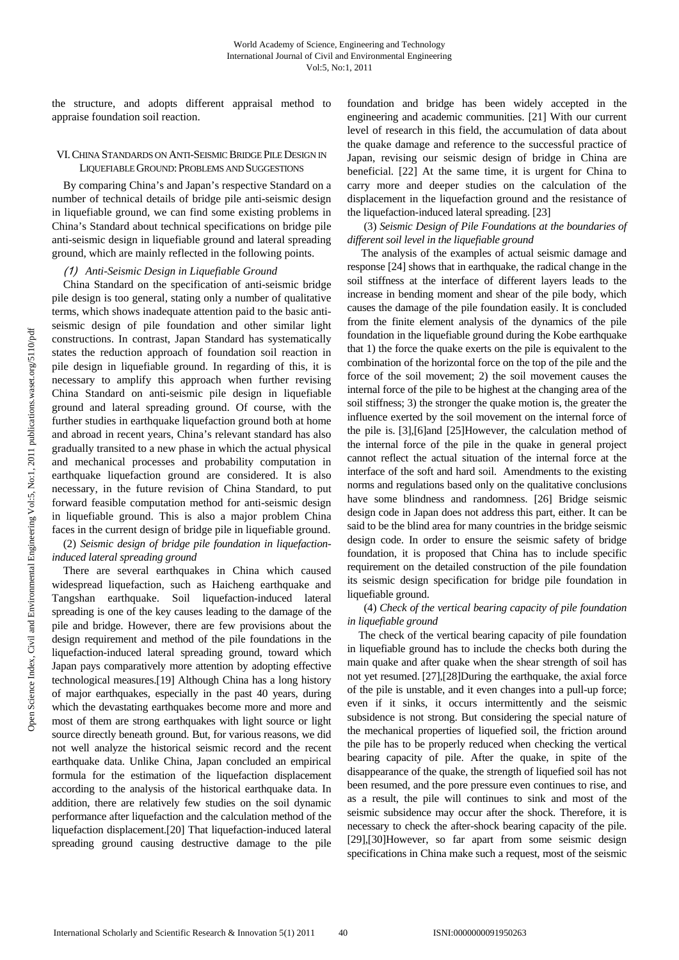the structure, and adopts different appraisal method to appraise foundation soil reaction.

#### VI.CHINA STANDARDS ON ANTI-SEISMIC BRIDGE PILE DESIGN IN LIQUEFIABLE GROUND: PROBLEMS AND SUGGESTIONS

By comparing China's and Japan's respective Standard on a number of technical details of bridge pile anti-seismic design in liquefiable ground, we can find some existing problems in China's Standard about technical specifications on bridge pile anti-seismic design in liquefiable ground and lateral spreading ground, which are mainly reflected in the following points.

## (1) *Anti-Seismic Design in Liquefiable Ground*

China Standard on the specification of anti-seismic bridge pile design is too general, stating only a number of qualitative terms, which shows inadequate attention paid to the basic antiseismic design of pile foundation and other similar light constructions. In contrast, Japan Standard has systematically states the reduction approach of foundation soil reaction in pile design in liquefiable ground. In regarding of this, it is necessary to amplify this approach when further revising China Standard on anti-seismic pile design in liquefiable ground and lateral spreading ground. Of course, with the further studies in earthquake liquefaction ground both at home and abroad in recent years, China's relevant standard has also gradually transited to a new phase in which the actual physical and mechanical processes and probability computation in earthquake liquefaction ground are considered. It is also necessary, in the future revision of China Standard, to put forward feasible computation method for anti-seismic design in liquefiable ground. This is also a major problem China faces in the current design of bridge pile in liquefiable ground.

## (2) *Seismic design of bridge pile foundation in liquefactioninduced lateral spreading ground*

There are several earthquakes in China which caused widespread liquefaction, such as Haicheng earthquake and Tangshan earthquake. Soil liquefaction-induced lateral spreading is one of the key causes leading to the damage of the pile and bridge. However, there are few provisions about the design requirement and method of the pile foundations in the liquefaction-induced lateral spreading ground, toward which Japan pays comparatively more attention by adopting effective technological measures.[19] Although China has a long history of major earthquakes, especially in the past 40 years, during which the devastating earthquakes become more and more and most of them are strong earthquakes with light source or light source directly beneath ground. But, for various reasons, we did not well analyze the historical seismic record and the recent earthquake data. Unlike China, Japan concluded an empirical formula for the estimation of the liquefaction displacement according to the analysis of the historical earthquake data. In addition, there are relatively few studies on the soil dynamic performance after liquefaction and the calculation method of the liquefaction displacement.[20] That liquefaction-induced lateral spreading ground causing destructive damage to the pile foundation and bridge has been widely accepted in the engineering and academic communities. [21] With our current level of research in this field, the accumulation of data about the quake damage and reference to the successful practice of Japan, revising our seismic design of bridge in China are beneficial. [22] At the same time, it is urgent for China to carry more and deeper studies on the calculation of the displacement in the liquefaction ground and the resistance of the liquefaction-induced lateral spreading. [23]

 (3) *Seismic Design of Pile Foundations at the boundaries of different soil level in the liquefiable ground*

 The analysis of the examples of actual seismic damage and response [24] shows that in earthquake, the radical change in the soil stiffness at the interface of different layers leads to the increase in bending moment and shear of the pile body, which causes the damage of the pile foundation easily. It is concluded from the finite element analysis of the dynamics of the pile foundation in the liquefiable ground during the Kobe earthquake that 1) the force the quake exerts on the pile is equivalent to the combination of the horizontal force on the top of the pile and the force of the soil movement; 2) the soil movement causes the internal force of the pile to be highest at the changing area of the soil stiffness; 3) the stronger the quake motion is, the greater the influence exerted by the soil movement on the internal force of the pile is. [3],[6]and [25]However, the calculation method of the internal force of the pile in the quake in general project cannot reflect the actual situation of the internal force at the interface of the soft and hard soil. Amendments to the existing norms and regulations based only on the qualitative conclusions have some blindness and randomness. [26] Bridge seismic design code in Japan does not address this part, either. It can be said to be the blind area for many countries in the bridge seismic design code. In order to ensure the seismic safety of bridge foundation, it is proposed that China has to include specific requirement on the detailed construction of the pile foundation its seismic design specification for bridge pile foundation in liquefiable ground.

## (4) *Check of the vertical bearing capacity of pile foundation in liquefiable ground*

The check of the vertical bearing capacity of pile foundation in liquefiable ground has to include the checks both during the main quake and after quake when the shear strength of soil has not yet resumed. [27],[28]During the earthquake, the axial force of the pile is unstable, and it even changes into a pull-up force; even if it sinks, it occurs intermittently and the seismic subsidence is not strong. But considering the special nature of the mechanical properties of liquefied soil, the friction around the pile has to be properly reduced when checking the vertical bearing capacity of pile. After the quake, in spite of the disappearance of the quake, the strength of liquefied soil has not been resumed, and the pore pressure even continues to rise, and as a result, the pile will continues to sink and most of the seismic subsidence may occur after the shock. Therefore, it is necessary to check the after-shock bearing capacity of the pile. [29],[30]However, so far apart from some seismic design specifications in China make such a request, most of the seismic